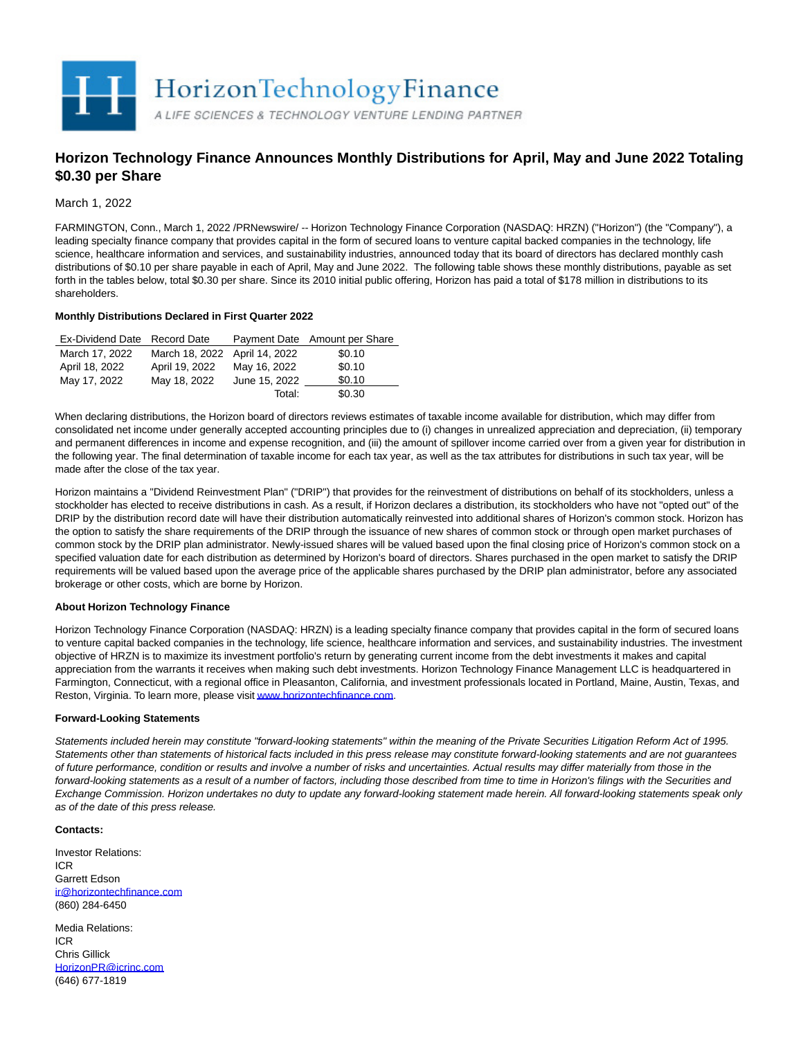

# **Horizon Technology Finance Announces Monthly Distributions for April, May and June 2022 Totaling \$0.30 per Share**

March 1, 2022

FARMINGTON, Conn., March 1, 2022 /PRNewswire/ -- Horizon Technology Finance Corporation (NASDAQ: HRZN) ("Horizon") (the "Company"), a leading specialty finance company that provides capital in the form of secured loans to venture capital backed companies in the technology, life science, healthcare information and services, and sustainability industries, announced today that its board of directors has declared monthly cash distributions of \$0.10 per share payable in each of April, May and June 2022. The following table shows these monthly distributions, payable as set forth in the tables below, total \$0.30 per share. Since its 2010 initial public offering, Horizon has paid a total of \$178 million in distributions to its shareholders.

## **Monthly Distributions Declared in First Quarter 2022**

| Ex-Dividend Date Record Date |                               |               | Payment Date Amount per Share |
|------------------------------|-------------------------------|---------------|-------------------------------|
| March 17, 2022               | March 18, 2022 April 14, 2022 |               | \$0.10                        |
| April 18, 2022               | April 19, 2022                | May 16, 2022  | \$0.10                        |
| May 17, 2022                 | May 18, 2022                  | June 15, 2022 | \$0.10                        |
|                              |                               | Total:        | \$0.30                        |

When declaring distributions, the Horizon board of directors reviews estimates of taxable income available for distribution, which may differ from consolidated net income under generally accepted accounting principles due to (i) changes in unrealized appreciation and depreciation, (ii) temporary and permanent differences in income and expense recognition, and (iii) the amount of spillover income carried over from a given year for distribution in the following year. The final determination of taxable income for each tax year, as well as the tax attributes for distributions in such tax year, will be made after the close of the tax year.

Horizon maintains a "Dividend Reinvestment Plan" ("DRIP") that provides for the reinvestment of distributions on behalf of its stockholders, unless a stockholder has elected to receive distributions in cash. As a result, if Horizon declares a distribution, its stockholders who have not "opted out" of the DRIP by the distribution record date will have their distribution automatically reinvested into additional shares of Horizon's common stock. Horizon has the option to satisfy the share requirements of the DRIP through the issuance of new shares of common stock or through open market purchases of common stock by the DRIP plan administrator. Newly-issued shares will be valued based upon the final closing price of Horizon's common stock on a specified valuation date for each distribution as determined by Horizon's board of directors. Shares purchased in the open market to satisfy the DRIP requirements will be valued based upon the average price of the applicable shares purchased by the DRIP plan administrator, before any associated brokerage or other costs, which are borne by Horizon.

## **About Horizon Technology Finance**

Horizon Technology Finance Corporation (NASDAQ: HRZN) is a leading specialty finance company that provides capital in the form of secured loans to venture capital backed companies in the technology, life science, healthcare information and services, and sustainability industries. The investment objective of HRZN is to maximize its investment portfolio's return by generating current income from the debt investments it makes and capital appreciation from the warrants it receives when making such debt investments. Horizon Technology Finance Management LLC is headquartered in Farmington, Connecticut, with a regional office in Pleasanton, California, and investment professionals located in Portland, Maine, Austin, Texas, and Reston, Virginia. To learn more, please visi[t www.horizontechfinance.com.](https://c212.net/c/link/?t=0&l=en&o=3459351-1&h=3138088740&u=http%3A%2F%2Fwww.horizontechfinance.com%2F&a=www.horizontechfinance.com)

## **Forward-Looking Statements**

Statements included herein may constitute "forward-looking statements" within the meaning of the Private Securities Litigation Reform Act of 1995. Statements other than statements of historical facts included in this press release may constitute forward-looking statements and are not guarantees of future performance, condition or results and involve a number of risks and uncertainties. Actual results may differ materially from those in the forward-looking statements as a result of a number of factors, including those described from time to time in Horizon's filings with the Securities and Exchange Commission. Horizon undertakes no duty to update any forward-looking statement made herein. All forward-looking statements speak only as of the date of this press release.

### **Contacts:**

Investor Relations: ICR Garrett Edson [ir@horizontechfinance.com](mailto:ir@horizontechfinance.com) (860) 284-6450

Media Relations: ICR Chris Gillick [HorizonPR@icrinc.com](mailto:HorizonPR@icrinc.com)  (646) 677-1819